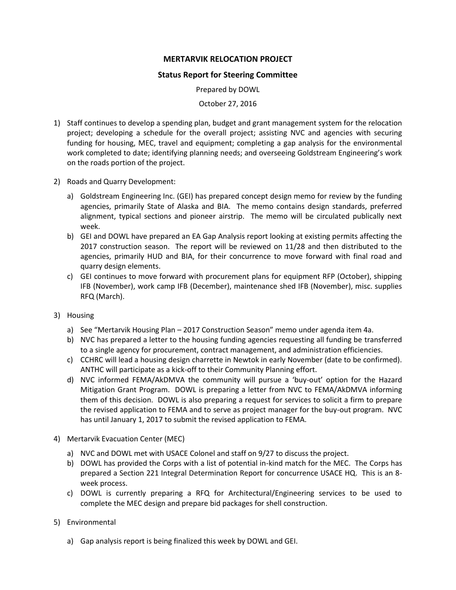## **MERTARVIK RELOCATION PROJECT**

## **Status Report for Steering Committee**

Prepared by DOWL

October 27, 2016

- 1) Staff continues to develop a spending plan, budget and grant management system for the relocation project; developing a schedule for the overall project; assisting NVC and agencies with securing funding for housing, MEC, travel and equipment; completing a gap analysis for the environmental work completed to date; identifying planning needs; and overseeing Goldstream Engineering's work on the roads portion of the project.
- 2) Roads and Quarry Development:
	- a) Goldstream Engineering Inc. (GEI) has prepared concept design memo for review by the funding agencies, primarily State of Alaska and BIA. The memo contains design standards, preferred alignment, typical sections and pioneer airstrip. The memo will be circulated publically next week.
	- b) GEI and DOWL have prepared an EA Gap Analysis report looking at existing permits affecting the 2017 construction season. The report will be reviewed on 11/28 and then distributed to the agencies, primarily HUD and BIA, for their concurrence to move forward with final road and quarry design elements.
	- c) GEI continues to move forward with procurement plans for equipment RFP (October), shipping IFB (November), work camp IFB (December), maintenance shed IFB (November), misc. supplies RFQ (March).
- 3) Housing
	- a) See "Mertarvik Housing Plan 2017 Construction Season" memo under agenda item 4a.
	- b) NVC has prepared a letter to the housing funding agencies requesting all funding be transferred to a single agency for procurement, contract management, and administration efficiencies.
	- c) CCHRC will lead a housing design charrette in Newtok in early November (date to be confirmed). ANTHC will participate as a kick-off to their Community Planning effort.
	- d) NVC informed FEMA/AkDMVA the community will pursue a 'buy-out' option for the Hazard Mitigation Grant Program. DOWL is preparing a letter from NVC to FEMA/AkDMVA informing them of this decision. DOWL is also preparing a request for services to solicit a firm to prepare the revised application to FEMA and to serve as project manager for the buy-out program. NVC has until January 1, 2017 to submit the revised application to FEMA.
- 4) Mertarvik Evacuation Center (MEC)
	- a) NVC and DOWL met with USACE Colonel and staff on 9/27 to discuss the project.
	- b) DOWL has provided the Corps with a list of potential in-kind match for the MEC. The Corps has prepared a Section 221 Integral Determination Report for concurrence USACE HQ. This is an 8 week process.
	- c) DOWL is currently preparing a RFQ for Architectural/Engineering services to be used to complete the MEC design and prepare bid packages for shell construction.
- 5) Environmental
	- a) Gap analysis report is being finalized this week by DOWL and GEI.